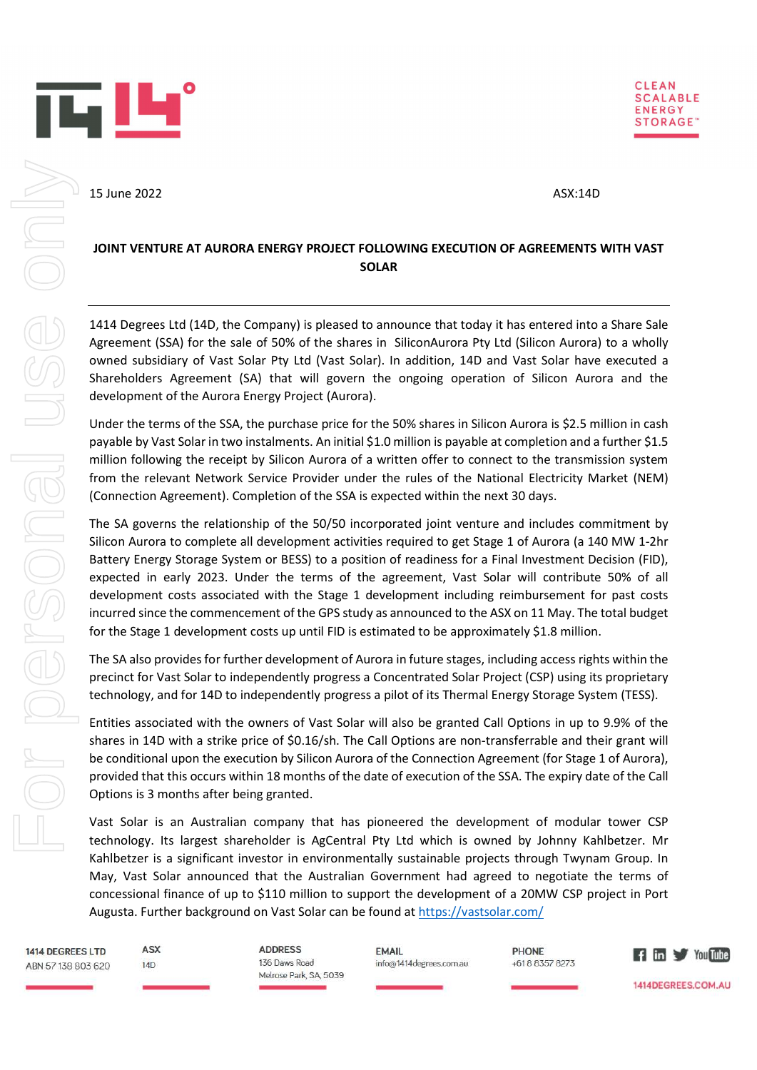



15 June 2022 **ASX:14D** 

## JOINT VENTURE AT AURORA ENERGY PROJECT FOLLOWING EXECUTION OF AGREEMENTS WITH VAST SOLAR

1414 Degrees Ltd (14D, the Company) is pleased to announce that today it has entered into a Share Sale Agreement (SSA) for the sale of 50% of the shares in SiliconAurora Pty Ltd (Silicon Aurora) to a wholly owned subsidiary of Vast Solar Pty Ltd (Vast Solar). In addition, 14D and Vast Solar have executed a Shareholders Agreement (SA) that will govern the ongoing operation of Silicon Aurora and the development of the Aurora Energy Project (Aurora).

Under the terms of the SSA, the purchase price for the 50% shares in Silicon Aurora is \$2.5 million in cash payable by Vast Solar in two instalments. An initial \$1.0 million is payable at completion and a further \$1.5 million following the receipt by Silicon Aurora of a written offer to connect to the transmission system from the relevant Network Service Provider under the rules of the National Electricity Market (NEM) (Connection Agreement). Completion of the SSA is expected within the next 30 days.

The SA governs the relationship of the 50/50 incorporated joint venture and includes commitment by Silicon Aurora to complete all development activities required to get Stage 1 of Aurora (a 140 MW 1-2hr Battery Energy Storage System or BESS) to a position of readiness for a Final Investment Decision (FID), expected in early 2023. Under the terms of the agreement, Vast Solar will contribute 50% of all development costs associated with the Stage 1 development including reimbursement for past costs incurred since the commencement of the GPS study as announced to the ASX on 11 May. The total budget for the Stage 1 development costs up until FID is estimated to be approximately \$1.8 million.

The SA also provides for further development of Aurora in future stages, including access rights within the precinct for Vast Solar to independently progress a Concentrated Solar Project (CSP) using its proprietary technology, and for 14D to independently progress a pilot of its Thermal Energy Storage System (TESS).

Entities associated with the owners of Vast Solar will also be granted Call Options in up to 9.9% of the shares in 14D with a strike price of \$0.16/sh. The Call Options are non-transferrable and their grant will be conditional upon the execution by Silicon Aurora of the Connection Agreement (for Stage 1 of Aurora), provided that this occurs within 18 months of the date of execution of the SSA. The expiry date of the Call Options is 3 months after being granted.

Vast Solar is an Australian company that has pioneered the development of modular tower CSP technology. Its largest shareholder is AgCentral Pty Ltd which is owned by Johnny Kahlbetzer. Mr Kahlbetzer is a significant investor in environmentally sustainable projects through Twynam Group. In May, Vast Solar announced that the Australian Government had agreed to negotiate the terms of concessional finance of up to \$110 million to support the development of a 20MW CSP project in Port Augusta. Further background on Vast Solar can be found at https://vastsolar.com/

1414 DEGREES LTD ABN 57 138 803 620

ASX

 $14D$ 

**ADDRESS** 136 Daws Road Melrose Park SA 5039

**FMAIL** info@1414degrees.com.au **PHONE** +61883578273



1414DEGREES.COM.AU